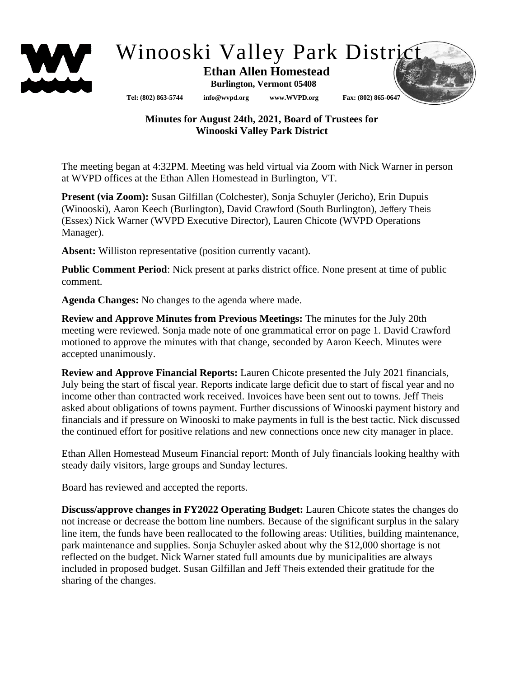

## Winooski Valley Park District

 **Ethan Allen Homestead Burlington, Vermont 05408**

**Tel: (802) 863-5744 info@wvpd.org [www.WVPD.org](http://www.wvpd.org/) Fax: (802) 865-0647** 

## **Minutes for August 24th, 2021, Board of Trustees for Winooski Valley Park District**

The meeting began at 4:32PM. Meeting was held virtual via Zoom with Nick Warner in person at WVPD offices at the Ethan Allen Homestead in Burlington, VT.

**Present (via Zoom):** Susan Gilfillan (Colchester), Sonja Schuyler (Jericho), Erin Dupuis (Winooski), Aaron Keech (Burlington), David Crawford (South Burlington), Jeffery Theis (Essex) Nick Warner (WVPD Executive Director), Lauren Chicote (WVPD Operations Manager).

**Absent:** Williston representative (position currently vacant).

**Public Comment Period**: Nick present at parks district office. None present at time of public comment.

**Agenda Changes:** No changes to the agenda where made.

**Review and Approve Minutes from Previous Meetings:** The minutes for the July 20th meeting were reviewed. Sonja made note of one grammatical error on page 1. David Crawford motioned to approve the minutes with that change, seconded by Aaron Keech. Minutes were accepted unanimously.

**Review and Approve Financial Reports:** Lauren Chicote presented the July 2021 financials, July being the start of fiscal year. Reports indicate large deficit due to start of fiscal year and no income other than contracted work received. Invoices have been sent out to towns. Jeff Theis asked about obligations of towns payment. Further discussions of Winooski payment history and financials and if pressure on Winooski to make payments in full is the best tactic. Nick discussed the continued effort for positive relations and new connections once new city manager in place.

Ethan Allen Homestead Museum Financial report: Month of July financials looking healthy with steady daily visitors, large groups and Sunday lectures.

Board has reviewed and accepted the reports.

**Discuss/approve changes in FY2022 Operating Budget:** Lauren Chicote states the changes do not increase or decrease the bottom line numbers. Because of the significant surplus in the salary line item, the funds have been reallocated to the following areas: Utilities, building maintenance, park maintenance and supplies. Sonja Schuyler asked about why the \$12,000 shortage is not reflected on the budget. Nick Warner stated full amounts due by municipalities are always included in proposed budget. Susan Gilfillan and Jeff Theis extended their gratitude for the sharing of the changes.